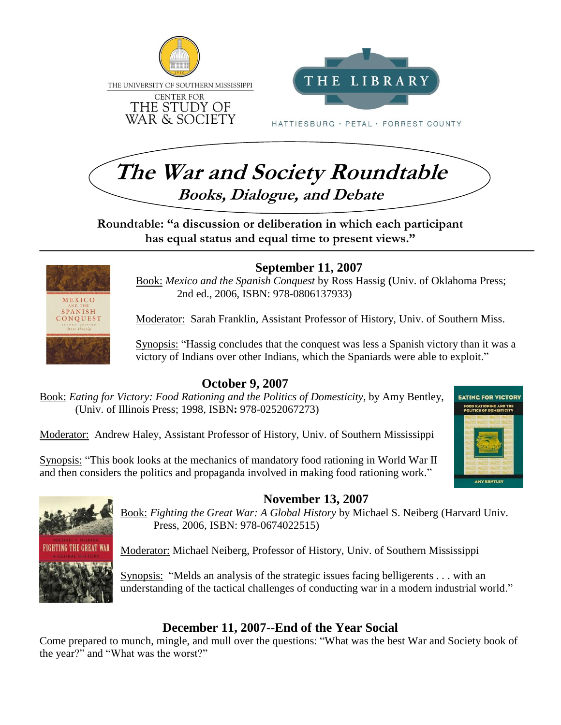



**Roundtable: "a discussion or deliberation in which each participant has equal status and equal time to present views."**



#### **September 11, 2007**

Book: *Mexico and the Spanish Conquest* by Ross Hassig **(**Univ. of Oklahoma Press; 2nd ed., 2006, ISBN: 978-0806137933)

Moderator: Sarah Franklin, Assistant Professor of History, Univ. of Southern Miss.

Synopsis: "Hassig concludes that the conquest was less a Spanish victory than it was a victory of Indians over other Indians, which the Spaniards were able to exploit."

#### **October 9, 2007**

Book: *Eating for Victory: Food Rationing and the Politics of Domesticity*, by Amy Bentley, (Univ. of Illinois Press; 1998, ISBN**:** 978-0252067273)

Moderator: Andrew Haley, Assistant Professor of History, Univ. of Southern Mississippi

Synopsis: "This book looks at the mechanics of mandatory food rationing in World War II and then considers the politics and propaganda involved in making food rationing work."





#### **November 13, 2007**

Book: *Fighting the Great War: A Global History* by Michael S. Neiberg (Harvard Univ. Press, 2006, ISBN: 978-0674022515)

Moderator: Michael Neiberg, Professor of History, Univ. of Southern Mississippi

Synopsis: "Melds an analysis of the strategic issues facing belligerents . . . with an understanding of the tactical challenges of conducting war in a modern industrial world."

### **December 11, 2007--End of the Year Social**

Come prepared to munch, mingle, and mull over the questions: "What was the best War and Society book of the year?" and "What was the worst?"